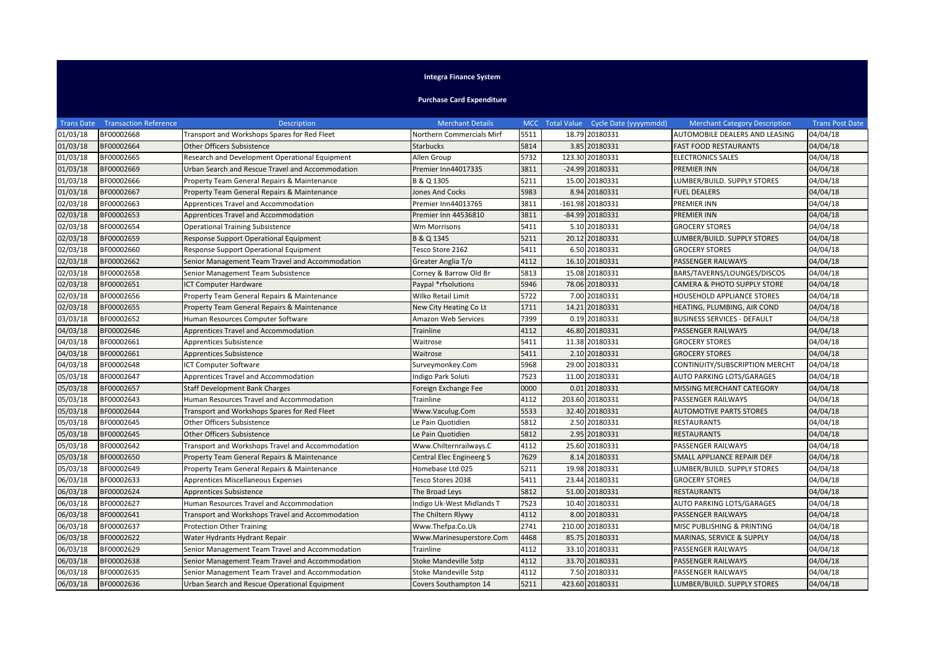## **Integra Finance System**

## **Purchase Card Expenditure**

|                       | <b>Trans Date Transaction Reference</b> | <b>Description</b>                               | <b>Merchant Details</b>          |      | MCC Total Value Cycle Date (yyyymmdd) | <b>Merchant Category Description</b> | <b>Trans Post Date</b> |
|-----------------------|-----------------------------------------|--------------------------------------------------|----------------------------------|------|---------------------------------------|--------------------------------------|------------------------|
| 01/03/18              | BF00002668                              | Transport and Workshops Spares for Red Fleet     | <b>Northern Commercials Mirf</b> | 5511 | 18.79 20180331                        | AUTOMOBILE DEALERS AND LEASING       | 04/04/18               |
| 01/03/18              | BF00002664                              | <b>Other Officers Subsistence</b>                | <b>Starbucks</b>                 | 5814 | 3.85 20180331                         | <b>FAST FOOD RESTAURANTS</b>         | 04/04/18               |
| 01/03/18              | BF00002665                              | Research and Development Operational Equipment   | Allen Group                      | 5732 | 123.30 20180331                       | <b>ELECTRONICS SALES</b>             | 04/04/18               |
| 01/03/18              | BF00002669                              | Urban Search and Rescue Travel and Accommodation | Premier Inn44017335              | 3811 | -24.99 20180331                       | PREMIER INN                          | 04/04/18               |
| 01/03/18              | BF00002666                              | Property Team General Repairs & Maintenance      | B & Q 1305                       | 5211 | 15.00 20180331                        | LUMBER/BUILD. SUPPLY STORES          | 04/04/18               |
| 01/03/18              | BF00002667                              | Property Team General Repairs & Maintenance      | <b>Jones And Cocks</b>           | 5983 | 8.94 20180331                         | <b>FUEL DEALERS</b>                  | 04/04/18               |
| 02/03/18              | BF00002663                              | Apprentices Travel and Accommodation             | Premier Inn44013765              | 3811 | -161.98 20180331                      | PREMIER INN                          | 04/04/18               |
| 02/03/18              | BF00002653                              | Apprentices Travel and Accommodation             | Premier Inn 44536810             | 3811 | -84.99 20180331                       | PREMIER INN                          | 04/04/18               |
| 02/03/18              | BF00002654                              | <b>Operational Training Subsistence</b>          | Wm Morrisons                     | 5411 | 5.10 20180331                         | <b>GROCERY STORES</b>                | 04/04/18               |
| 02/03/18              | BF00002659                              | Response Support Operational Equipment           | B & Q 1345                       | 5211 | 20.12 20180331                        | LUMBER/BUILD. SUPPLY STORES          | 04/04/18               |
| 02/03/18              | BF00002660                              | Response Support Operational Equipment           | Tesco Store 2162                 | 5411 | 6.50 20180331                         | <b>GROCERY STORES</b>                | 04/04/18               |
| 02/03/18              | BF00002662                              | Senior Management Team Travel and Accommodation  | Greater Anglia T/o               | 4112 | 16.10 20180331                        | PASSENGER RAILWAYS                   | 04/04/18               |
| 02/03/18              | BF00002658                              | Senior Management Team Subsistence               | Corney & Barrow Old Br           | 5813 | 15.08 20180331                        | BARS/TAVERNS/LOUNGES/DISCOS          | 04/04/18               |
| 02/03/18              | BF00002651                              | <b>ICT Computer Hardware</b>                     | Paypal *rfsolutions              | 5946 | 78.06 20180331                        | CAMERA & PHOTO SUPPLY STORE          | 04/04/18               |
| 02/03/18              | BF00002656                              | Property Team General Repairs & Maintenance      | Wilko Retail Limit               | 5722 | 7.00 20180331                         | HOUSEHOLD APPLIANCE STORES           | 04/04/18               |
| 02/03/18              | BF00002655                              | Property Team General Repairs & Maintenance      | New City Heating Co Lt           | 1711 | 14.21 20180331                        | HEATING, PLUMBING, AIR COND          | 04/04/18               |
| 03/03/18              | BF00002652                              | Human Resources Computer Software                | <b>Amazon Web Services</b>       | 7399 | 0.19 20180331                         | <b>BUSINESS SERVICES - DEFAULT</b>   | 04/04/18               |
| 04/03/18              | BF00002646                              | Apprentices Travel and Accommodation             | <b>Trainline</b>                 | 4112 | 46.80 20180331                        | PASSENGER RAILWAYS                   | 04/04/18               |
| 04/03/18              | BF00002661                              | Apprentices Subsistence                          | Waitrose                         | 5411 | 11.38 20180331                        | <b>GROCERY STORES</b>                | 04/04/18               |
| 04/03/18              | BF00002661                              | Apprentices Subsistence                          | Waitrose                         | 5411 | 2.10 20180331                         | <b>GROCERY STORES</b>                | 04/04/18               |
| 04/03/18              | BF00002648                              | <b>ICT Computer Software</b>                     | Surveymonkey.Com                 | 5968 | 29.00 20180331                        | CONTINUITY/SUBSCRIPTION MERCHT       | 04/04/18               |
| 05/03/18              | BF00002647                              | Apprentices Travel and Accommodation             | Indigo Park Soluti               | 7523 | 11.00 20180331                        | AUTO PARKING LOTS/GARAGES            | 04/04/18               |
| 05/03/18              | BF00002657                              | <b>Staff Development Bank Charges</b>            | Foreign Exchange Fee             | 0000 | 0.01 20180331                         | MISSING MERCHANT CATEGORY            | 04/04/18               |
| 05/03/18              | BF00002643                              | Human Resources Travel and Accommodation         | Trainline                        | 4112 | 203.60 20180331                       | PASSENGER RAILWAYS                   | 04/04/18               |
| 05/03/18              | BF00002644                              | Transport and Workshops Spares for Red Fleet     | Www.Vaculug.Com                  | 5533 | 32.40 20180331                        | <b>AUTOMOTIVE PARTS STORES</b>       | 04/04/18               |
| 05/03/18              | BF00002645                              | <b>Other Officers Subsistence</b>                | Le Pain Quotidien                | 5812 | 2.50 20180331                         | RESTAURANTS                          | 04/04/18               |
| 05/03/18              | BF00002645                              | <b>Other Officers Subsistence</b>                | Le Pain Quotidien                | 5812 | 2.95 20180331                         | RESTAURANTS                          | 04/04/18               |
| 05/03/18              | BF00002642                              | Transport and Workshops Travel and Accommodation | Www.Chilternrailways.C           | 4112 | 25.60 20180331                        | PASSENGER RAILWAYS                   | 04/04/18               |
| 05/03/18              | BF00002650                              | Property Team General Repairs & Maintenance      | Central Elec Engineerg S         | 7629 | 8.14 20180331                         | SMALL APPLIANCE REPAIR DEF           | 04/04/18               |
| 05/03/18              | BF00002649                              | Property Team General Repairs & Maintenance      | Homebase Ltd 025                 | 5211 | 19.98 20180331                        | LUMBER/BUILD. SUPPLY STORES          | 04/04/18               |
| 06/03/18              | BF00002633                              | Apprentices Miscellaneous Expenses               | Tesco Stores 2038                | 5411 | 23.44 20180331                        | <b>GROCERY STORES</b>                | 04/04/18               |
| 06/03/18              | BF00002624                              | Apprentices Subsistence                          | The Broad Leys                   | 5812 | 51.00 20180331                        | RESTAURANTS                          | 04/04/18               |
| $06/03/\overline{18}$ | BF00002627                              | Human Resources Travel and Accommodation         | Indigo Uk-West Midlands T        | 7523 | 10.40 20180331                        | AUTO PARKING LOTS/GARAGES            | 04/04/18               |
| 06/03/18              | BF00002641                              | Transport and Workshops Travel and Accommodation | The Chiltern Rlywy               | 4112 | 8.00 20180331                         | PASSENGER RAILWAYS                   | 04/04/18               |
| $06/03/\overline{18}$ | BF00002637                              | <b>Protection Other Training</b>                 | Www.Thefpa.Co.Uk                 | 2741 | 210.00 20180331                       | MISC PUBLISHING & PRINTING           | 04/04/18               |
| 06/03/18              | BF00002622                              | Water Hydrants Hydrant Repair                    | Www.Marinesuperstore.Com         | 4468 | 85.75 20180331                        | MARINAS, SERVICE & SUPPLY            | 04/04/18               |
| 06/03/18              | BF00002629                              | Senior Management Team Travel and Accommodation  | Trainline                        | 4112 | 33.10 20180331                        | PASSENGER RAILWAYS                   | 04/04/18               |
| 06/03/18              | BF00002638                              | Senior Management Team Travel and Accommodation  | <b>Stoke Mandeville Sstp</b>     | 4112 | 33.70 20180331                        | PASSENGER RAILWAYS                   | 04/04/18               |
| 06/03/18              | BF00002635                              | Senior Management Team Travel and Accommodation  | Stoke Mandeville Sstp            | 4112 | 7.50 20180331                         | PASSENGER RAILWAYS                   | 04/04/18               |
| 06/03/18              | BF00002636                              | Urban Search and Rescue Operational Equipment    | Covers Southampton 14            | 5211 | 423.60 20180331                       | LUMBER/BUILD. SUPPLY STORES          | 04/04/18               |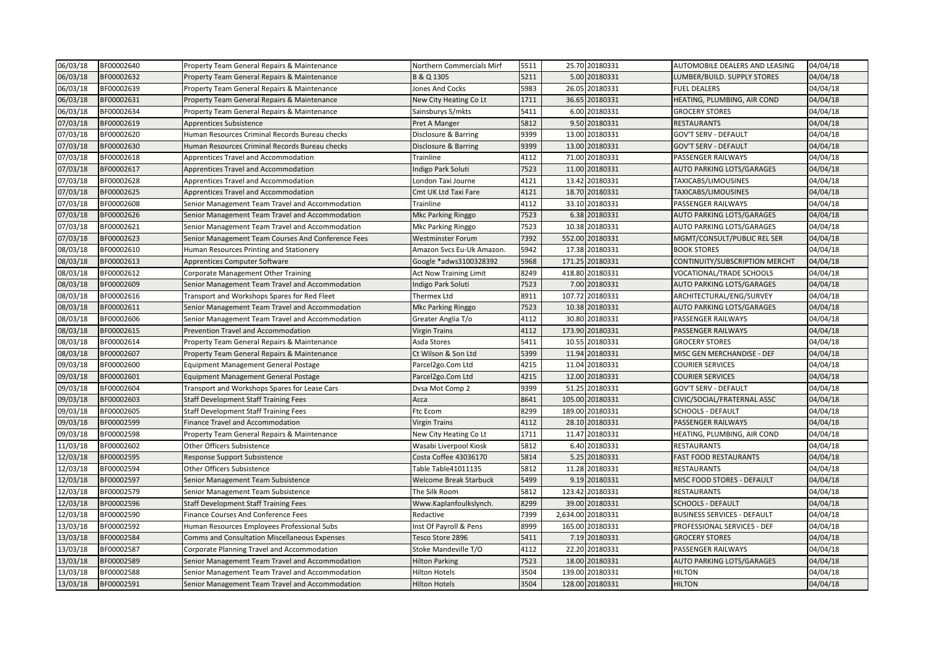| 06/03/18 | BF00002640 | Property Team General Repairs & Maintenance          | Northern Commercials Mirf     | 5511 | 25.70 20180331    | AUTOMOBILE DEALERS AND LEASING     | 04/04/18 |
|----------|------------|------------------------------------------------------|-------------------------------|------|-------------------|------------------------------------|----------|
| 06/03/18 | BF00002632 | Property Team General Repairs & Maintenance          | B & Q 1305                    | 5211 | 5.00 20180331     | LUMBER/BUILD. SUPPLY STORES        | 04/04/18 |
| 06/03/18 | BF00002639 | Property Team General Repairs & Maintenance          | Jones And Cocks               | 5983 | 26.05 20180331    | FUEL DEALERS                       | 04/04/18 |
| 06/03/18 | BF00002631 | Property Team General Repairs & Maintenance          | New City Heating Co Lt        | 1711 | 36.65 20180331    | HEATING, PLUMBING, AIR COND        | 04/04/18 |
| 06/03/18 | BF00002634 | Property Team General Repairs & Maintenance          | Sainsburys S/mkts             | 5411 | 6.00 20180331     | <b>GROCERY STORES</b>              | 04/04/18 |
| 07/03/18 | BF00002619 | <b>Apprentices Subsistence</b>                       | Pret A Manger                 | 5812 | 9.50 20180331     | <b>RESTAURANTS</b>                 | 04/04/18 |
| 07/03/18 | BF00002620 | Human Resources Criminal Records Bureau checks       | Disclosure & Barring          | 9399 | 13.00 20180331    | GOV'T SERV - DEFAULT               | 04/04/18 |
| 07/03/18 | BF00002630 | Human Resources Criminal Records Bureau checks       | Disclosure & Barring          | 9399 | 13.00 20180331    | GOV'T SERV - DEFAULT               | 04/04/18 |
| 07/03/18 | BF00002618 | Apprentices Travel and Accommodation                 | Trainline                     | 4112 | 71.00 20180331    | PASSENGER RAILWAYS                 | 04/04/18 |
| 07/03/18 | BF00002617 | Apprentices Travel and Accommodation                 | Indigo Park Soluti            | 7523 | 11.00 20180331    | <b>AUTO PARKING LOTS/GARAGES</b>   | 04/04/18 |
| 07/03/18 | BF00002628 | Apprentices Travel and Accommodation                 | London Taxi Journe            | 4121 | 13.42 20180331    | TAXICABS/LIMOUSINES                | 04/04/18 |
| 07/03/18 | BF00002625 | Apprentices Travel and Accommodation                 | Cmt UK Ltd Taxi Fare          | 4121 | 18.70 20180331    | TAXICABS/LIMOUSINES                | 04/04/18 |
| 07/03/18 | BF00002608 | Senior Management Team Travel and Accommodation      | Trainline                     | 4112 | 33.10 20180331    | PASSENGER RAILWAYS                 | 04/04/18 |
| 07/03/18 | BF00002626 | Senior Management Team Travel and Accommodation      | Mkc Parking Ringgo            | 7523 | 6.38 20180331     | AUTO PARKING LOTS/GARAGES          | 04/04/18 |
| 07/03/18 | BF00002621 | Senior Management Team Travel and Accommodation      | Mkc Parking Ringgo            | 7523 | 10.38 20180331    | AUTO PARKING LOTS/GARAGES          | 04/04/18 |
| 07/03/18 | BF00002623 | Senior Management Team Courses And Conference Fees   | <b>Westminster Forum</b>      | 7392 | 552.00 20180331   | MGMT/CONSULT/PUBLIC REL SER        | 04/04/18 |
| 08/03/18 | BF00002610 | Human Resources Printing and Stationery              | Amazon Svcs Eu-Uk Amazon.     | 5942 | 17.38 20180331    | <b>BOOK STORES</b>                 | 04/04/18 |
| 08/03/18 | BF00002613 | Apprentices Computer Software                        | Google *adws3100328392        | 5968 | 171.25 20180331   | CONTINUITY/SUBSCRIPTION MERCHT     | 04/04/18 |
| 08/03/18 | BF00002612 | Corporate Management Other Training                  | <b>Act Now Training Limit</b> | 8249 | 418.80 20180331   | VOCATIONAL/TRADE SCHOOLS           | 04/04/18 |
| 08/03/18 | BF00002609 | Senior Management Team Travel and Accommodation      | Indigo Park Soluti            | 7523 | 7.00 20180331     | AUTO PARKING LOTS/GARAGES          | 04/04/18 |
| 08/03/18 | BF00002616 | Transport and Workshops Spares for Red Fleet         | Thermex Ltd                   | 8911 | 107.72 20180331   | ARCHITECTURAL/ENG/SURVEY           | 04/04/18 |
| 08/03/18 | BF00002611 | Senior Management Team Travel and Accommodation      | Mkc Parking Ringgo            | 7523 | 10.38 20180331    | <b>AUTO PARKING LOTS/GARAGES</b>   | 04/04/18 |
| 08/03/18 | BF00002606 | Senior Management Team Travel and Accommodation      | Greater Anglia T/o            | 4112 | 30.80 20180331    | PASSENGER RAILWAYS                 | 04/04/18 |
| 08/03/18 | BF00002615 | <b>Prevention Travel and Accommodation</b>           | <b>Virgin Trains</b>          | 4112 | 173.90 20180331   | PASSENGER RAILWAYS                 | 04/04/18 |
| 08/03/18 | BF00002614 | Property Team General Repairs & Maintenance          | Asda Stores                   | 5411 | 10.55 20180331    | <b>GROCERY STORES</b>              | 04/04/18 |
| 08/03/18 | BF00002607 | Property Team General Repairs & Maintenance          | Ct Wilson & Son Ltd           | 5399 | 11.94 20180331    | MISC GEN MERCHANDISE - DEF         | 04/04/18 |
| 09/03/18 | BF00002600 | <b>Equipment Management General Postage</b>          | Parcel2go.Com Ltd             | 4215 | 11.04 20180331    | COURIER SERVICES                   | 04/04/18 |
| 09/03/18 | BF00002601 | <b>Equipment Management General Postage</b>          | Parcel2go.Com Ltd             | 4215 | 12.00 20180331    | <b>COURIER SERVICES</b>            | 04/04/18 |
| 09/03/18 | BF00002604 | Transport and Workshops Spares for Lease Cars        | Dvsa Mot Comp 2               | 9399 | 51.25 20180331    | <b>GOV'T SERV - DEFAULT</b>        | 04/04/18 |
| 09/03/18 | BF00002603 | <b>Staff Development Staff Training Fees</b>         | Acca                          | 8641 | 105.00 20180331   | CIVIC/SOCIAL/FRATERNAL ASSC        | 04/04/18 |
| 09/03/18 | BF00002605 | <b>Staff Development Staff Training Fees</b>         | Ftc Ecom                      | 8299 | 189.00 20180331   | <b>SCHOOLS - DEFAULT</b>           | 04/04/18 |
| 09/03/18 | BF00002599 | <b>Finance Travel and Accommodation</b>              | <b>Virgin Trains</b>          | 4112 | 28.10 20180331    | PASSENGER RAILWAYS                 | 04/04/18 |
| 09/03/18 | BF00002598 | Property Team General Repairs & Maintenance          | New City Heating Co Lt        | 1711 | 11.47 20180331    | HEATING, PLUMBING, AIR COND        | 04/04/18 |
| 11/03/18 | BF00002602 | <b>Other Officers Subsistence</b>                    | Wasabi Liverpool Kiosk        | 5812 | 6.40 20180331     | <b>RESTAURANTS</b>                 | 04/04/18 |
| 12/03/18 | BF00002595 | Response Support Subsistence                         | Costa Coffee 43036170         | 5814 | 5.25 20180331     | <b>FAST FOOD RESTAURANTS</b>       | 04/04/18 |
| 12/03/18 | BF00002594 | <b>Other Officers Subsistence</b>                    | Table Table41011135           | 5812 | 11.28 20180331    | <b>RESTAURANTS</b>                 | 04/04/18 |
| 12/03/18 | BF00002597 | Senior Management Team Subsistence                   | Welcome Break Starbuck        | 5499 | 9.19 20180331     | MISC FOOD STORES - DEFAULT         | 04/04/18 |
| 12/03/18 | BF00002579 | Senior Management Team Subsistence                   | The Silk Room                 | 5812 | 123.42 20180331   | RESTAURANTS                        | 04/04/18 |
| 12/03/18 | BF00002596 | <b>Staff Development Staff Training Fees</b>         | Www.Kaplanfoulkslynch.        | 8299 | 39.00 20180331    | <b>SCHOOLS - DEFAULT</b>           | 04/04/18 |
| 12/03/18 | BF00002590 | <b>Finance Courses And Conference Fees</b>           | Redactive                     | 7399 | 2,634.00 20180331 | <b>BUSINESS SERVICES - DEFAULT</b> | 04/04/18 |
| 13/03/18 | BF00002592 | Human Resources Employees Professional Subs          | Inst Of Payroll & Pens        | 8999 | 165.00 20180331   | PROFESSIONAL SERVICES - DEF        | 04/04/18 |
| 13/03/18 | BF00002584 | <b>Comms and Consultation Miscellaneous Expenses</b> | Tesco Store 2896              | 5411 | 7.19 20180331     | <b>GROCERY STORES</b>              | 04/04/18 |
| 13/03/18 | BF00002587 | Corporate Planning Travel and Accommodation          | Stoke Mandeville T/O          | 4112 | 22.20 20180331    | PASSENGER RAILWAYS                 | 04/04/18 |
| 13/03/18 | BF00002589 | Senior Management Team Travel and Accommodation      | <b>Hilton Parking</b>         | 7523 | 18.00 20180331    | AUTO PARKING LOTS/GARAGES          | 04/04/18 |
| 13/03/18 | BF00002588 | Senior Management Team Travel and Accommodation      | <b>Hilton Hotels</b>          | 3504 | 139.00 20180331   | HILTON                             | 04/04/18 |
| 13/03/18 | BF00002591 | Senior Management Team Travel and Accommodation      | <b>Hilton Hotels</b>          | 3504 | 128.00 20180331   | <b>HILTON</b>                      | 04/04/18 |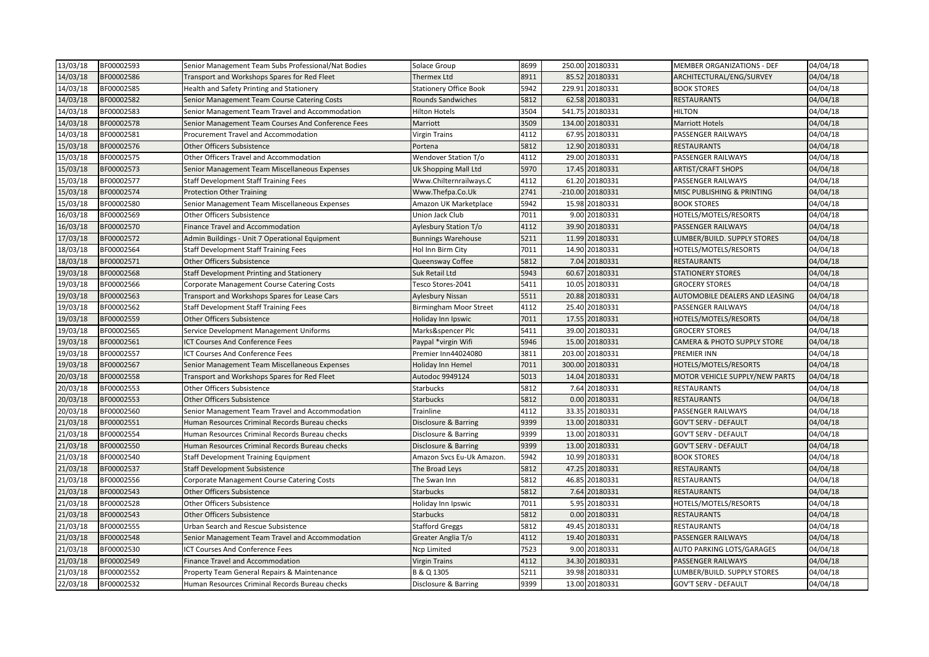| 13/03/18 | BF00002593 | Senior Management Team Subs Professional/Nat Bodies | Solace Group                  | 8699 |        | 250.00 20180331  | MEMBER ORGANIZATIONS - DEF     | 04/04/18 |
|----------|------------|-----------------------------------------------------|-------------------------------|------|--------|------------------|--------------------------------|----------|
| 14/03/18 | BF00002586 | Transport and Workshops Spares for Red Fleet        | Thermex Ltd                   | 8911 |        | 85.52 20180331   | ARCHITECTURAL/ENG/SURVEY       | 04/04/18 |
| 14/03/18 | BF00002585 | Health and Safety Printing and Stationery           | <b>Stationery Office Book</b> | 5942 | 229.91 | 20180331         | <b>BOOK STORES</b>             | 04/04/18 |
| 14/03/18 | BF00002582 | Senior Management Team Course Catering Costs        | Rounds Sandwiches             | 5812 |        | 62.58 20180331   | <b>RESTAURANTS</b>             | 04/04/18 |
| 14/03/18 | BF00002583 | Senior Management Team Travel and Accommodation     | Hilton Hotels                 | 3504 |        | 541.75 20180331  | <b>HILTON</b>                  | 04/04/18 |
| 14/03/18 | BF00002578 | Senior Management Team Courses And Conference Fees  | Marriott                      | 3509 |        | 134.00 20180331  | <b>Marriott Hotels</b>         | 04/04/18 |
| 14/03/18 | BF00002581 | Procurement Travel and Accommodation                | Virgin Trains                 | 4112 |        | 67.95 20180331   | PASSENGER RAILWAYS             | 04/04/18 |
| 15/03/18 | BF00002576 | <b>Other Officers Subsistence</b>                   | Portena                       | 5812 |        | 12.90 20180331   | <b>RESTAURANTS</b>             | 04/04/18 |
| 15/03/18 | BF00002575 | Other Officers Travel and Accommodation             | Wendover Station T/o          | 4112 |        | 29.00 20180331   | PASSENGER RAILWAYS             | 04/04/18 |
| 15/03/18 | BF00002573 | Senior Management Team Miscellaneous Expenses       | Uk Shopping Mall Ltd          | 5970 |        | 17.45 20180331   | <b>ARTIST/CRAFT SHOPS</b>      | 04/04/18 |
| 15/03/18 | BF00002577 | <b>Staff Development Staff Training Fees</b>        | Www.Chilternrailways.C        | 4112 |        | 61.20 20180331   | PASSENGER RAILWAYS             | 04/04/18 |
| 15/03/18 | BF00002574 | <b>Protection Other Training</b>                    | Www.Thefpa.Co.Uk              | 2741 |        | -210.00 20180331 | MISC PUBLISHING & PRINTING     | 04/04/18 |
| 15/03/18 | BF00002580 | Senior Management Team Miscellaneous Expenses       | Amazon UK Marketplace         | 5942 |        | 15.98 20180331   | <b>BOOK STORES</b>             | 04/04/18 |
| 16/03/18 | BF00002569 | <b>Other Officers Subsistence</b>                   | Union Jack Club               | 7011 |        | 9.00 20180331    | HOTELS/MOTELS/RESORTS          | 04/04/18 |
| 16/03/18 | BF00002570 | <b>Finance Travel and Accommodation</b>             | Aylesbury Station T/o         | 4112 |        | 39.90 20180331   | PASSENGER RAILWAYS             | 04/04/18 |
| 17/03/18 | BF00002572 | Admin Buildings - Unit 7 Operational Equipment      | <b>Bunnings Warehouse</b>     | 5211 |        | 11.99 20180331   | LUMBER/BUILD. SUPPLY STORES    | 04/04/18 |
| 18/03/18 | BF00002564 | <b>Staff Development Staff Training Fees</b>        | Hol Inn Birm City             | 7011 |        | 14.90 20180331   | HOTELS/MOTELS/RESORTS          | 04/04/18 |
| 18/03/18 | BF00002571 | <b>Other Officers Subsistence</b>                   | Queensway Coffee              | 5812 |        | 7.04 20180331    | <b>RESTAURANTS</b>             | 04/04/18 |
| 19/03/18 | BF00002568 | Staff Development Printing and Stationery           | Suk Retail Ltd                | 5943 |        | 60.67 20180331   | <b>STATIONERY STORES</b>       | 04/04/18 |
| 19/03/18 | BF00002566 | Corporate Management Course Catering Costs          | Tesco Stores-2041             | 5411 |        | 10.05 20180331   | <b>GROCERY STORES</b>          | 04/04/18 |
| 19/03/18 | BF00002563 | Transport and Workshops Spares for Lease Cars       | Aylesbury Nissan              | 5511 |        | 20.88 20180331   | AUTOMOBILE DEALERS AND LEASING | 04/04/18 |
| 19/03/18 | BF00002562 | <b>Staff Development Staff Training Fees</b>        | Birmingham Moor Street        | 4112 |        | 25.40 20180331   | PASSENGER RAILWAYS             | 04/04/18 |
| 19/03/18 | BF00002559 | <b>Other Officers Subsistence</b>                   | Holiday Inn Ipswic            | 7011 |        | 17.55 20180331   | HOTELS/MOTELS/RESORTS          | 04/04/18 |
| 19/03/18 | BF00002565 | Service Development Management Uniforms             | Marks&spencer Plc             | 5411 |        | 39.00 20180331   | <b>GROCERY STORES</b>          | 04/04/18 |
| 19/03/18 | BF00002561 | <b>CT Courses And Conference Fees</b>               | Paypal *virgin Wifi           | 5946 |        | 15.00 20180331   | CAMERA & PHOTO SUPPLY STORE    | 04/04/18 |
| 19/03/18 | BF00002557 | <b>CT Courses And Conference Fees</b>               | Premier Inn44024080           | 3811 |        | 203.00 20180331  | PREMIER INN                    | 04/04/18 |
| 19/03/18 | BF00002567 | Senior Management Team Miscellaneous Expenses       | Holiday Inn Hemel             | 7011 |        | 300.00 20180331  | HOTELS/MOTELS/RESORTS          | 04/04/18 |
| 20/03/18 | BF00002558 | Transport and Workshops Spares for Red Fleet        | Autodoc 9949124               | 5013 |        | 14.04 20180331   | MOTOR VEHICLE SUPPLY/NEW PARTS | 04/04/18 |
| 20/03/18 | BF00002553 | <b>Other Officers Subsistence</b>                   | <b>Starbucks</b>              | 5812 |        | 7.64 20180331    | <b>RESTAURANTS</b>             | 04/04/18 |
| 20/03/18 | BF00002553 | <b>Other Officers Subsistence</b>                   | <b>Starbucks</b>              | 5812 |        | 0.00 20180331    | RESTAURANTS                    | 04/04/18 |
| 20/03/18 | BF00002560 | Senior Management Team Travel and Accommodation     | Trainline                     | 4112 |        | 33.35 20180331   | PASSENGER RAILWAYS             | 04/04/18 |
| 21/03/18 | BF00002551 | Human Resources Criminal Records Bureau checks      | Disclosure & Barring          | 9399 |        | 13.00 20180331   | <b>GOV'T SERV - DEFAULT</b>    | 04/04/18 |
| 21/03/18 | BF00002554 | Human Resources Criminal Records Bureau checks      | Disclosure & Barring          | 9399 |        | 13.00 20180331   | <b>GOV'T SERV - DEFAULT</b>    | 04/04/18 |
| 21/03/18 | BF00002550 | Human Resources Criminal Records Bureau checks      | Disclosure & Barring          | 9399 |        | 13.00 20180331   | <b>GOV'T SERV - DEFAULT</b>    | 04/04/18 |
| 21/03/18 | BF00002540 | Staff Development Training Equipment                | Amazon Svcs Eu-Uk Amazon.     | 5942 |        | 10.99 20180331   | <b>BOOK STORES</b>             | 04/04/18 |
| 21/03/18 | BF00002537 | <b>Staff Development Subsistence</b>                | The Broad Leys                | 5812 |        | 47.25 20180331   | <b>RESTAURANTS</b>             | 04/04/18 |
| 21/03/18 | BF00002556 | Corporate Management Course Catering Costs          | The Swan Inn                  | 5812 |        | 46.85 20180331   | RESTAURANTS                    | 04/04/18 |
| 21/03/18 | BF00002543 | Other Officers Subsistence                          | <b>Starbucks</b>              | 5812 |        | 7.64 20180331    | <b>RESTAURANTS</b>             | 04/04/18 |
| 21/03/18 | BF00002528 | <b>Other Officers Subsistence</b>                   | Holiday Inn Ipswic            | 7011 |        | 5.95 20180331    | HOTELS/MOTELS/RESORTS          | 04/04/18 |
| 21/03/18 | BF00002543 | <b>Other Officers Subsistence</b>                   | <b>Starbucks</b>              | 5812 |        | 0.00 20180331    | <b>RESTAURANTS</b>             | 04/04/18 |
| 21/03/18 | BF00002555 | Urban Search and Rescue Subsistence                 | <b>Stafford Greggs</b>        | 5812 |        | 49.45 20180331   | RESTAURANTS                    | 04/04/18 |
| 21/03/18 | BF00002548 | Senior Management Team Travel and Accommodation     | Greater Anglia T/o            | 4112 |        | 19.40 20180331   | PASSENGER RAILWAYS             | 04/04/18 |
| 21/03/18 | BF00002530 | <b>CT Courses And Conference Fees</b>               | Ncp Limited                   | 7523 |        | 9.00 20180331    | AUTO PARKING LOTS/GARAGES      | 04/04/18 |
| 21/03/18 | BF00002549 | Finance Travel and Accommodation                    | Virgin Trains                 | 4112 |        | 34.30 20180331   | PASSENGER RAILWAYS             | 04/04/18 |
| 21/03/18 | BF00002552 | Property Team General Repairs & Maintenance         | B & Q 1305                    | 5211 |        | 39.98 20180331   | LUMBER/BUILD. SUPPLY STORES    | 04/04/18 |
| 22/03/18 | BF00002532 | Human Resources Criminal Records Bureau checks      | Disclosure & Barring          | 9399 |        | 13.00 20180331   | <b>GOV'T SERV - DEFAULT</b>    | 04/04/18 |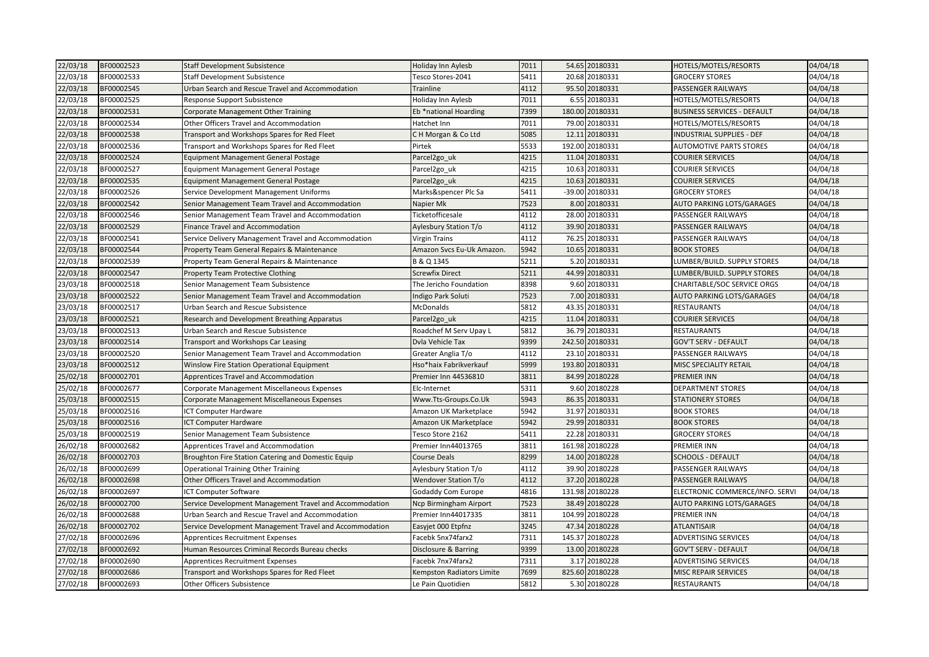| 22/03/18 | BF00002523 | <b>Staff Development Subsistence</b>                    | Holiday Inn Aylesb        | 7011 | 54.65 20180331  | HOTELS/MOTELS/RESORTS              | 04/04/18 |
|----------|------------|---------------------------------------------------------|---------------------------|------|-----------------|------------------------------------|----------|
| 22/03/18 | BF00002533 | Staff Development Subsistence                           | Tesco Stores-2041         | 5411 | 20.68 20180331  | <b>GROCERY STORES</b>              | 04/04/18 |
| 22/03/18 | BF00002545 | Urban Search and Rescue Travel and Accommodation        | Trainline                 | 4112 | 95.50 20180331  | <b>PASSENGER RAILWAYS</b>          | 04/04/18 |
| 22/03/18 | BF00002525 | Response Support Subsistence                            | Holiday Inn Aylesb        | 7011 | 6.55 20180331   | HOTELS/MOTELS/RESORTS              | 04/04/18 |
| 22/03/18 | BF00002531 | Corporate Management Other Training                     | Eb *national Hoarding     | 7399 | 180.00 20180331 | <b>BUSINESS SERVICES - DEFAULT</b> | 04/04/18 |
| 22/03/18 | BF00002534 | Other Officers Travel and Accommodation                 | Hatchet Inn               | 7011 | 79.00 20180331  | HOTELS/MOTELS/RESORTS              | 04/04/18 |
| 22/03/18 | BF00002538 | Transport and Workshops Spares for Red Fleet            | C H Morgan & Co Ltd       | 5085 | 12.11 20180331  | <b>INDUSTRIAL SUPPLIES - DEF</b>   | 04/04/18 |
| 22/03/18 | BF00002536 | Transport and Workshops Spares for Red Fleet            | Pirtek                    | 5533 | 192.00 20180331 | <b>AUTOMOTIVE PARTS STORES</b>     | 04/04/18 |
| 22/03/18 | BF00002524 | <b>Equipment Management General Postage</b>             | Parcel2go_uk              | 4215 | 11.04 20180331  | <b>COURIER SERVICES</b>            | 04/04/18 |
| 22/03/18 | BF00002527 | <b>Equipment Management General Postage</b>             | Parcel2go_uk              | 4215 | 10.63 20180331  | <b>COURIER SERVICES</b>            | 04/04/18 |
| 22/03/18 | BF00002535 | Equipment Management General Postage                    | Parcel2go uk              | 4215 | 10.63 20180331  | <b>COURIER SERVICES</b>            | 04/04/18 |
| 22/03/18 | BF00002526 | Service Development Management Uniforms                 | Marks&spencer Plc Sa      | 5411 | -39.00 20180331 | <b>GROCERY STORES</b>              | 04/04/18 |
| 22/03/18 | BF00002542 | Senior Management Team Travel and Accommodation         | Napier Mk                 | 7523 | 8.00 20180331   | <b>AUTO PARKING LOTS/GARAGES</b>   | 04/04/18 |
| 22/03/18 | BF00002546 | Senior Management Team Travel and Accommodation         | Ticketofficesale          | 4112 | 28.00 20180331  | PASSENGER RAILWAYS                 | 04/04/18 |
| 22/03/18 | BF00002529 | Finance Travel and Accommodation                        | Aylesbury Station T/o     | 4112 | 39.90 20180331  | PASSENGER RAILWAYS                 | 04/04/18 |
| 22/03/18 | BF00002541 | Service Delivery Management Travel and Accommodation    | <b>Virgin Trains</b>      | 4112 | 76.25 20180331  | PASSENGER RAILWAYS                 | 04/04/18 |
| 22/03/18 | BF00002544 | Property Team General Repairs & Maintenance             | Amazon Svcs Eu-Uk Amazon. | 5942 | 10.65 20180331  | <b>BOOK STORES</b>                 | 04/04/18 |
| 22/03/18 | BF00002539 | Property Team General Repairs & Maintenance             | B & Q 1345                | 5211 | 5.20 20180331   | LUMBER/BUILD. SUPPLY STORES        | 04/04/18 |
| 22/03/18 | BF00002547 | <b>Property Team Protective Clothing</b>                | <b>Screwfix Direct</b>    | 5211 | 44.99 20180331  | LUMBER/BUILD. SUPPLY STORES        | 04/04/18 |
| 23/03/18 | BF00002518 | Senior Management Team Subsistence                      | The Jericho Foundation    | 8398 | 9.60 20180331   | CHARITABLE/SOC SERVICE ORGS        | 04/04/18 |
| 23/03/18 | BF00002522 | Senior Management Team Travel and Accommodation         | Indigo Park Soluti        | 7523 | 7.00 20180331   | AUTO PARKING LOTS/GARAGES          | 04/04/18 |
| 23/03/18 | BF00002517 | Urban Search and Rescue Subsistence                     | <b>McDonalds</b>          | 5812 | 43.35 20180331  | <b>RESTAURANTS</b>                 | 04/04/18 |
| 23/03/18 | BF00002521 | Research and Development Breathing Apparatus            | Parcel2go_uk              | 4215 | 11.04 20180331  | <b>COURIER SERVICES</b>            | 04/04/18 |
| 23/03/18 | BF00002513 | Urban Search and Rescue Subsistence                     | Roadchef M Serv Upay L    | 5812 | 36.79 20180331  | <b>RESTAURANTS</b>                 | 04/04/18 |
| 23/03/18 | BF00002514 | Transport and Workshops Car Leasing                     | Dvla Vehicle Tax          | 9399 | 242.50 20180331 | <b>GOV'T SERV - DEFAULT</b>        | 04/04/18 |
| 23/03/18 | BF00002520 | Senior Management Team Travel and Accommodation         | Greater Anglia T/o        | 4112 | 23.10 20180331  | PASSENGER RAILWAYS                 | 04/04/18 |
| 23/03/18 | BF00002512 | <b>Winslow Fire Station Operational Equipment</b>       | Hso*haix Fabrikverkauf    | 5999 | 193.80 20180331 | <b>MISC SPECIALITY RETAIL</b>      | 04/04/18 |
| 25/02/18 | BF00002701 | Apprentices Travel and Accommodation                    | Premier Inn 44536810      | 3811 | 84.99 20180228  | <b>PREMIER INN</b>                 | 04/04/18 |
| 25/02/18 | BF00002677 | Corporate Management Miscellaneous Expenses             | Elc-Internet              | 5311 | 9.60 20180228   | <b>DEPARTMENT STORES</b>           | 04/04/18 |
| 25/03/18 | BF00002515 | Corporate Management Miscellaneous Expenses             | Www.Tts-Groups.Co.Uk      | 5943 | 86.35 20180331  | <b>STATIONERY STORES</b>           | 04/04/18 |
| 25/03/18 | BF00002516 | ICT Computer Hardware                                   | Amazon UK Marketplace     | 5942 | 31.97 20180331  | <b>BOOK STORES</b>                 | 04/04/18 |
| 25/03/18 | BF00002516 | ICT Computer Hardware                                   | Amazon UK Marketplace     | 5942 | 29.99 20180331  | <b>BOOK STORES</b>                 | 04/04/18 |
| 25/03/18 | BF00002519 | Senior Management Team Subsistence                      | Tesco Store 2162          | 5411 | 22.28 20180331  | <b>GROCERY STORES</b>              | 04/04/18 |
| 26/02/18 | BF00002682 | Apprentices Travel and Accommodation                    | Premier Inn44013765       | 3811 | 161.98 20180228 | <b>PREMIER INN</b>                 | 04/04/18 |
| 26/02/18 | BF00002703 | Broughton Fire Station Catering and Domestic Equip      | <b>Course Deals</b>       | 8299 | 14.00 20180228  | <b>SCHOOLS - DEFAULT</b>           | 04/04/18 |
| 26/02/18 | BF00002699 | <b>Operational Training Other Training</b>              | Aylesbury Station T/o     | 4112 | 39.90 20180228  | PASSENGER RAILWAYS                 | 04/04/18 |
| 26/02/18 | BF00002698 | Other Officers Travel and Accommodation                 | Wendover Station T/o      | 4112 | 37.20 20180228  | PASSENGER RAILWAYS                 | 04/04/18 |
| 26/02/18 | BF00002697 | ICT Computer Software                                   | Godaddy Com Europe        | 4816 | 131.98 20180228 | ELECTRONIC COMMERCE/INFO. SERVI    | 04/04/18 |
| 26/02/18 | BF00002700 | Service Development Management Travel and Accommodation | Ncp Birmingham Airport    | 7523 | 38.49 20180228  | <b>AUTO PARKING LOTS/GARAGES</b>   | 04/04/18 |
| 26/02/18 | BF00002688 | Urban Search and Rescue Travel and Accommodation        | Premier Inn44017335       | 3811 | 104.99 20180228 | <b>PREMIER INN</b>                 | 04/04/18 |
| 26/02/18 | BF00002702 | Service Development Management Travel and Accommodation | Easyjet 000 Etpfnz        | 3245 | 47.34 20180228  | ATLANTISAIR                        | 04/04/18 |
| 27/02/18 | BF00002696 | Apprentices Recruitment Expenses                        | Facebk 5nx74farx2         | 7311 | 145.37 20180228 | <b>ADVERTISING SERVICES</b>        | 04/04/18 |
| 27/02/18 | BF00002692 | Human Resources Criminal Records Bureau checks          | Disclosure & Barring      | 9399 | 13.00 20180228  | <b>GOV'T SERV - DEFAULT</b>        | 04/04/18 |
| 27/02/18 | BF00002690 | <b>Apprentices Recruitment Expenses</b>                 | Facebk 7nx74farx2         | 7311 | 3.17 20180228   | <b>ADVERTISING SERVICES</b>        | 04/04/18 |
| 27/02/18 | BF00002686 | Transport and Workshops Spares for Red Fleet            | Kempston Radiators Limite | 7699 | 825.60 20180228 | <b>MISC REPAIR SERVICES</b>        | 04/04/18 |
| 27/02/18 | BF00002693 | <b>Other Officers Subsistence</b>                       | Le Pain Quotidien         | 5812 | 5.30 20180228   | <b>RESTAURANTS</b>                 | 04/04/18 |